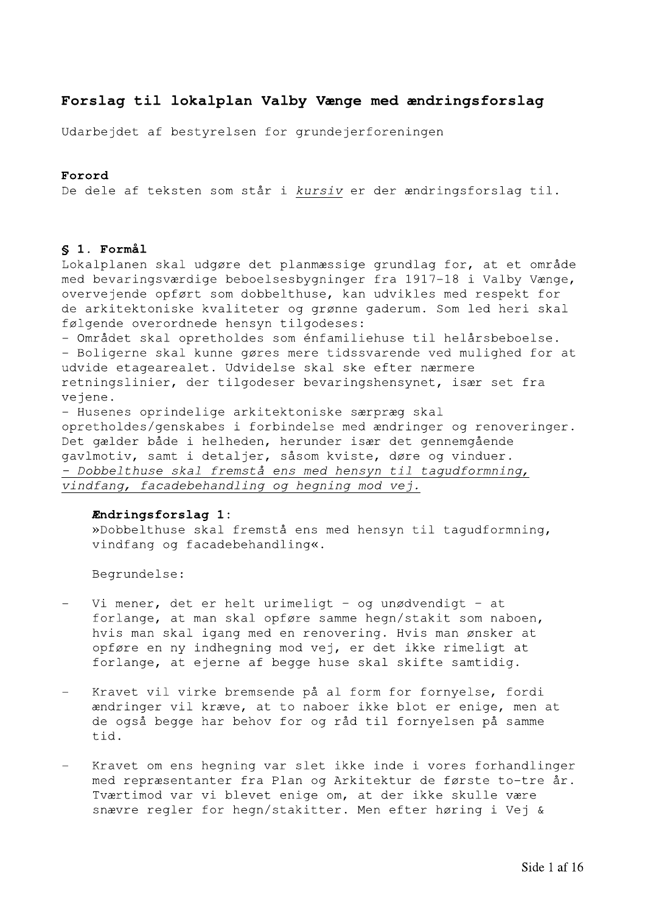# Forslag til lokalplan Valby Vænge med ændringsforslag

Udarbejdet af bestyrelsen for grundejerforeningen

# Forord

De dele af teksten som står i kursiv er der ændringsforslag til.

## § 1. Formål

Lokalplanen skal udgøre det planmæssige grundlag for, at et område med bevaringsværdige beboelsesbygninger fra 1917-18 i Valby Vænge, overvejende opført som dobbelthuse, kan udvikles med respekt for de arkitektoniske kvaliteter og grønne gaderum. Som led heri skal følgende overordnede hensyn tilgodeses:

- Området skal opretholdes som énfamiliehuse til helårsbeboelse. - Boligerne skal kunne gøres mere tidssvarende ved mulighed for at udvide etagearealet. Udvidelse skal ske efter nærmere retningslinier, der tilgodeser bevaringshensynet, især set fra vejene.

- Husenes oprindelige arkitektoniske særpræg skal opretholdes/genskabes i forbindelse med ændringer og renoveringer. Det gælder både i helheden, herunder især det gennemgående gavlmotiv, samt i detaljer, såsom kviste, døre og vinduer. - Dobbelthuse skal fremstå ens med hensyn til tagudformning, vindfang, facadebehandling og hegning mod vej.

### Endringsforslag 1:

»Dobbelthuse skal fremstå ens med hensyn til tagudformning, vindfang og facadebehandling«.

- Vi mener, det er helt urimeligt og unødvendigt at forlange, at man skal opføre samme hegn/stakit som naboen, hvis man skal igang med en renovering. Hvis man ønsker at opføre en ny indhegning mod vej, er det ikke rimeligt at forlange, at ejerne af begge huse skal skifte samtidig.
- $\equiv$ Kravet vil virke bremsende på al form for fornyelse, fordi ændringer vil kræve, at to naboer ikke blot er enige, men at de også begge har behov for og råd til fornyelsen på samme tid.
- Kravet om ens hegning var slet ikke inde i vores forhandlinger med repræsentanter fra Plan og Arkitektur de første to-tre år. Tværtimod var vi blevet enige om, at der ikke skulle være snævre regler for hegn/stakitter. Men efter høring i Vej &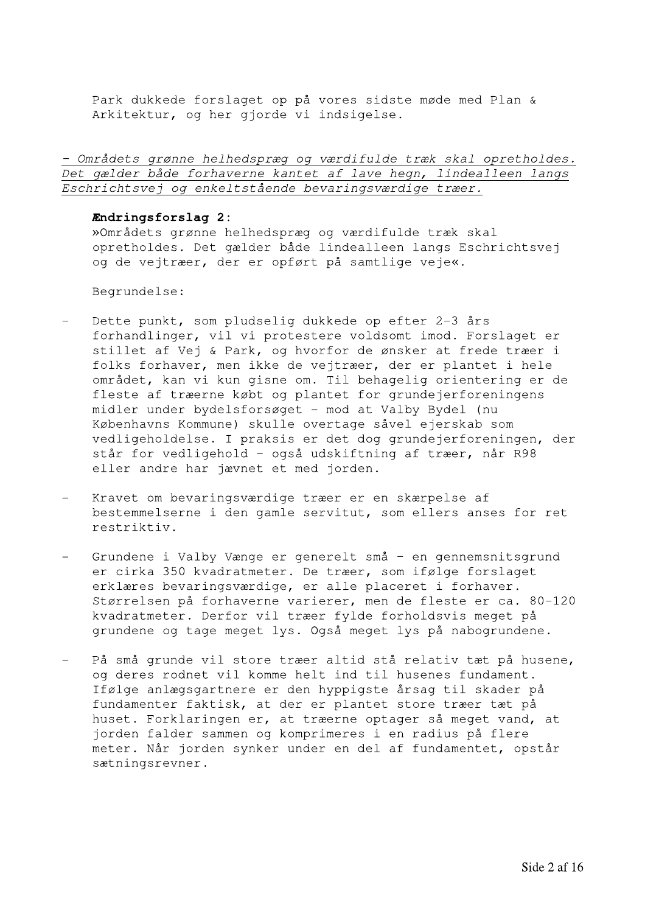Park dukkede forslaget op på vores sidste møde med Plan & Arkitektur, og her gjorde vi indsigelse.

- Områdets grønne helhedspræg og værdifulde træk skal opretholdes. Det gælder både forhaverne kantet af lave hegn, lindealleen langs Eschrichtsvej og enkeltstående bevaringsværdige træer.

### Endringsforslag 2:

»Områdets grønne helhedspræg og værdifulde træk skal opretholdes. Det gælder både lindealleen langs Eschrichtsvej og de vejtræer, der er opført på samtlige veje«.

- Dette punkt, som pludselig dukkede op efter 2-3 års forhandlinger, vil vi protestere voldsomt imod. Forslaget er stillet af Vej & Park, og hvorfor de ønsker at frede træer i folks forhaver, men ikke de vejtræer, der er plantet i hele området, kan vi kun gisne om. Til behagelig orientering er de fleste af træerne købt og plantet for grundejerforeningens midler under bydelsforsøget - mod at Valby Bydel (nu Københavns Kommune) skulle overtage såvel ejerskab som vedligeholdelse. I praksis er det dog grundejerforeningen, der står for vedligehold - også udskiftning af træer, når R98 eller andre har jævnet et med jorden.
- Kravet om bevaringsværdige træer er en skærpelse af bestemmelserne i den gamle servitut, som ellers anses for ret restriktiv.
- Grundene i Valby Vænge er generelt små en gennemsnitsgrund er cirka 350 kvadratmeter. De træer, som ifølge forslaget erklæres bevaringsværdige, er alle placeret i forhaver. Størrelsen på forhaverne varierer, men de fleste er ca. 80-120 kvadratmeter. Derfor vil træer fylde forholdsvis meget på grundene og tage meget lys. Også meget lys på nabogrundene.
- På små grunde vil store træer altid stå relativ tæt på husene,  $\equiv$ og deres rodnet vil komme helt ind til husenes fundament. Ifølge anlægsgartnere er den hyppigste årsag til skader på fundamenter faktisk, at der er plantet store træer tæt på huset. Forklaringen er, at træerne optager så meget vand, at jorden falder sammen og komprimeres i en radius på flere meter. Når jorden synker under en del af fundamentet, opstår sætningsrevner.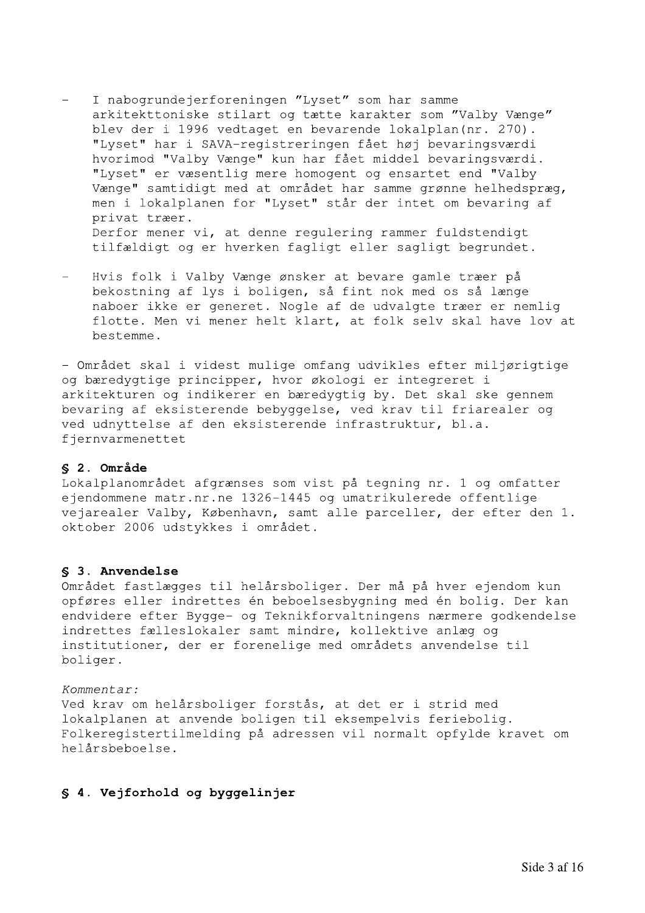- I nabogrundejerforeningen "Lyset" som har samme arkitekttoniske stilart og tætte karakter som "Valby Vænge" blev der i 1996 vedtaget en bevarende lokalplan (nr. 270). "Lyset" har i SAVA-registreringen fået høj bevaringsværdi hvorimod "Valby Vænge" kun har fået middel bevaringsværdi. "Lyset" er væsentlig mere homogent og ensartet end "Valby Vænge" samtidigt med at området har samme grønne helhedspræg, men i lokalplanen for "Lyset" står der intet om bevaring af privat træer. Derfor mener vi, at denne requlering rammer fuldstendigt tilfældigt og er hverken fagligt eller sagligt begrundet.
- Hvis folk i Valby Vænge ønsker at bevare gamle træer på bekostning af lys i boligen, så fint nok med os så længe naboer ikke er generet. Nogle af de udvalgte træer er nemlig flotte. Men vi mener helt klart, at folk selv skal have lov at bestemme.

- Området skal i videst mulige omfang udvikles efter miljørigtige og bæredygtige principper, hvor økologi er integreret i arkitekturen og indikerer en bæredygtig by. Det skal ske gennem bevaring af eksisterende bebyggelse, ved krav til friarealer og ved udnyttelse af den eksisterende infrastruktur, bl.a. fjernvarmenettet

# § 2. Område

Lokalplanområdet afgrænses som vist på tegning nr. 1 og omfatter ejendommene matr.nr.ne 1326-1445 og umatrikulerede offentlige vejarealer Valby, København, samt alle parceller, der efter den 1. oktober 2006 udstykkes i området.

### \$ 3. Anvendelse

Området fastlægges til helårsboliger. Der må på hver ejendom kun opføres eller indrettes én beboelsesbygning med én bolig. Der kan endvidere efter Bygge- og Teknikforvaltningens nærmere godkendelse indrettes fælleslokaler samt mindre, kollektive anlæg og institutioner, der er forenelige med områdets anvendelse til boliger.

## Kommentar:

Ved krav om helårsboliger forstås, at det er i strid med lokalplanen at anvende boligen til eksempelvis feriebolig. Folkeregistertilmelding på adressen vil normalt opfylde kravet om helårsbeboelse.

# § 4. Vejforhold og byggelinjer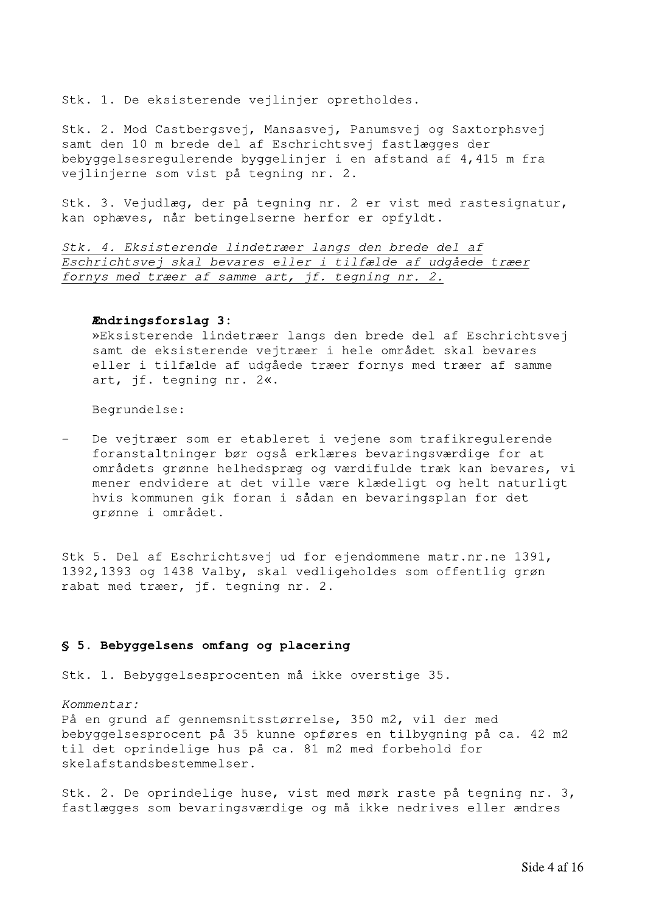Stk. 1. De eksisterende vejlinjer opretholdes.

Stk. 2. Mod Castbergsvej, Mansasvej, Panumsvej og Saxtorphsvej samt den 10 m brede del af Eschrichtsvej fastlægges der bebyggelsesregulerende byggelinjer i en afstand af 4,415 m fra vejlinjerne som vist på tegning nr. 2.

Stk. 3. Vejudlæg, der på tegning nr. 2 er vist med rastesignatur, kan ophæves, når betingelserne herfor er opfyldt.

Stk. 4. Eksisterende lindetræer langs den brede del af Eschrichtsvej skal bevares eller i tilfælde af udgåede træer fornys med træer af samme art, jf. tegning nr. 2.

### Endringsforslag 3:

»Eksisterende lindetræer langs den brede del af Eschrichtsvej samt de eksisterende vejtræer i hele området skal bevares eller i tilfælde af udgåede træer fornys med træer af samme art, jf. tegning nr. 2«.

Begrundelse:

De vejtræer som er etableret i vejene som trafikregulerende foranstaltninger bør også erklæres bevaringsværdige for at områdets grønne helhedspræg og værdifulde træk kan bevares, vi mener endvidere at det ville være klædeligt og helt naturligt hvis kommunen gik foran i sådan en bevaringsplan for det grønne i området.

Stk 5. Del af Eschrichtsvej ud for ejendommene matr.nr.ne 1391, 1392,1393 og 1438 Valby, skal vedligeholdes som offentlig grøn rabat med træer, jf. tegning nr. 2.

## § 5. Bebyggelsens omfang og placering

Stk. 1. Bebyggelsesprocenten må ikke overstige 35.

Kommentar:

På en grund af gennemsnitsstørrelse, 350 m2, vil der med bebyggelsesprocent på 35 kunne opføres en tilbygning på ca. 42 m2 til det oprindelige hus på ca. 81 m2 med forbehold for skelafstandsbestemmelser.

Stk. 2. De oprindelige huse, vist med mørk raste på tegning nr. 3, fastlægges som bevaringsværdige og må ikke nedrives eller ændres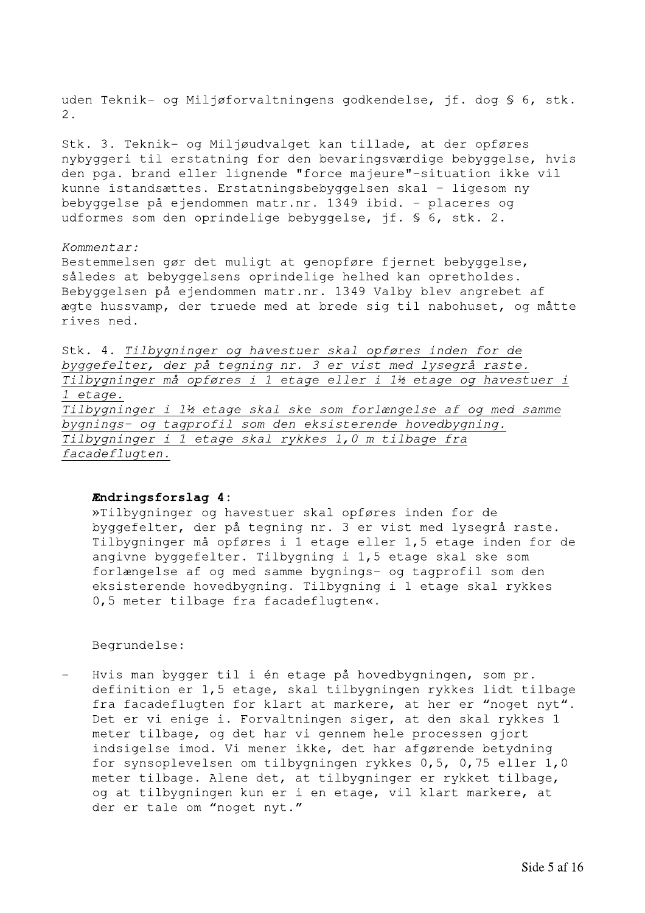uden Teknik- og Miljøforvaltningens godkendelse, jf. dog § 6, stk.  $2.$ 

Stk. 3. Teknik- og Miljøudvalget kan tillade, at der opføres nybyggeri til erstatning for den bevaringsværdige bebyggelse, hvis den pga. brand eller lignende "force majeure"-situation ikke vil kunne istandsættes. Erstatningsbebyggelsen skal - ligesom ny bebyggelse på ejendommen matr.nr. 1349 ibid. - placeres og udformes som den oprindelige bebyggelse, jf. § 6, stk. 2.

### Kommentar:

Bestemmelsen gør det muligt at genopføre fjernet bebyggelse, således at bebyggelsens oprindelige helhed kan opretholdes. Bebyggelsen på ejendommen matr.nr. 1349 Valby blev angrebet af ægte hussvamp, der truede med at brede sig til nabohuset, og måtte rives ned.

Stk. 4. Tilbygninger og havestuer skal opføres inden for de byggefelter, der på tegning nr. 3 er vist med lysegrå raste. Tilbygninger må opføres i 1 etage eller i 1½ etage og havestuer i 1 etage. Tilbygninger i 1½ etage skal ske som forlængelse af og med samme bygnings- og tagprofil som den eksisterende hovedbygning. Tilbygninger i 1 etage skal rykkes 1,0 m tilbage fra facadeflugten.

### Endringsforslag 4:

»Tilbygninger og havestuer skal opføres inden for de byggefelter, der på tegning nr. 3 er vist med lysegrå raste. Tilbygninger må opføres i 1 etage eller 1,5 etage inden for de angivne byggefelter. Tilbygning i 1,5 etage skal ske som forlængelse af og med samme bygnings- og tagprofil som den eksisterende hovedbygning. Tilbygning i 1 etage skal rykkes 0,5 meter tilbage fra facadeflugten«.

Begrundelse:

Hvis man bygger til i én etage på hovedbygningen, som pr. definition er 1,5 etage, skal tilbygningen rykkes lidt tilbage fra facadeflugten for klart at markere, at her er "noget nyt". Det er vi enige i. Forvaltningen siger, at den skal rykkes 1 meter tilbage, og det har vi gennem hele processen gjort indsigelse imod. Vi mener ikke, det har afgørende betydning for synsoplevelsen om tilbygningen rykkes 0,5, 0,75 eller 1,0 meter tilbage. Alene det, at tilbygninger er rykket tilbage, og at tilbygningen kun er i en etage, vil klart markere, at der er tale om "noget nyt."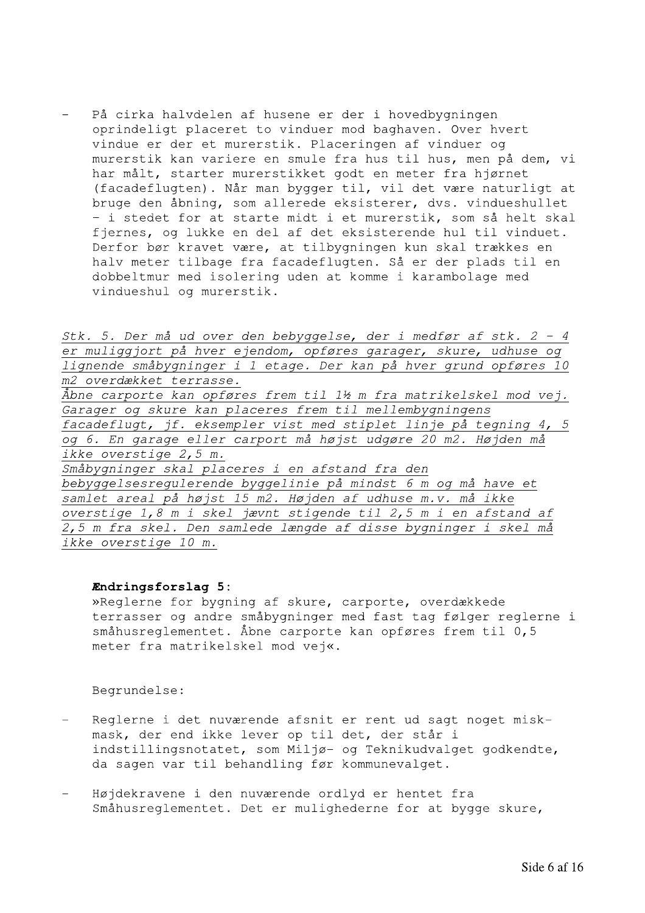$\overline{\phantom{0}}$ På cirka halvdelen af husene er der i hovedbygningen oprindeligt placeret to vinduer mod baghaven. Over hvert vindue er der et murerstik. Placeringen af vinduer og murerstik kan variere en smule fra hus til hus, men på dem, vi<br>har målt, starter murerstikket godt en meter fra hjørnet - På cirka halvdelen af husene er der i hovedbygningen<br>oprindeligt placeret to vinduer do baghaven. Over hvrett<br>vindue or der et murerstikket godt en meter fra hjørnet<br>(facadeflugten). Når man bygger til, vil det være natu

> Stk. 5. Der må ud over den bebyggelse, der i medfør af stk.  $2 - 4$ er muliggjort på hver ejendom, opføres garager, skure, udhuse og lignende småbygninger i 1 etage. Der kan på hver grund opføres 10 m2 overdækket terrasse.  $\overline{\AA}$ bne carporte kan opføres frem til 1½ m fra matrikelskel mod vej. Garager og skure kan placeres frem til mellembygningens facadeflugt, jf. eksempler vist med stiplet linje på tegning 4, 5 og 6. En garage eller carport må højst udgøre 20 m2. Højden må ikke overstige  $2, 5$  m. Småbygninger skal placeres i en afstand fra den

bebyggelsesregulerende byggelinie på mindst 6 m og må have et samlet areal på højst 15 m2. Højden af udhuse m.v. må ikke overstige  $1,8$  m i skel jævnt stigende til  $2,5$  m i en afstand af  $\overline{2,5}$  m fra skel. Den samlede længde af disse bygninger i skel må ikke overstige 10 m.

**Endringsforslag 5:**<br>»Reglerne for bygning af skure, carporte, overdækkede terrasser og andre småbygninger med fast tag følger reglerne i  $sm\hat{a}$ husreqlementet. Åbne carporte kan opføres frem til 0,5 meter fra matrikelskel mod vej«.

- Ξ. Reglerne i det nuværende afsnit er rent ud sagt noget miskmask, der end ikke lever op til det, der står i  $\verb|indstillingsnotatet|,$  som Miljø- og Teknikudvalget godkendte, da sagen var til behandling før kommunevalget.
- Ξ. Højdekravene i den nuværende ordlyd er hentet fra Småhusreglementet. Det er mulighederne for at bygge skure,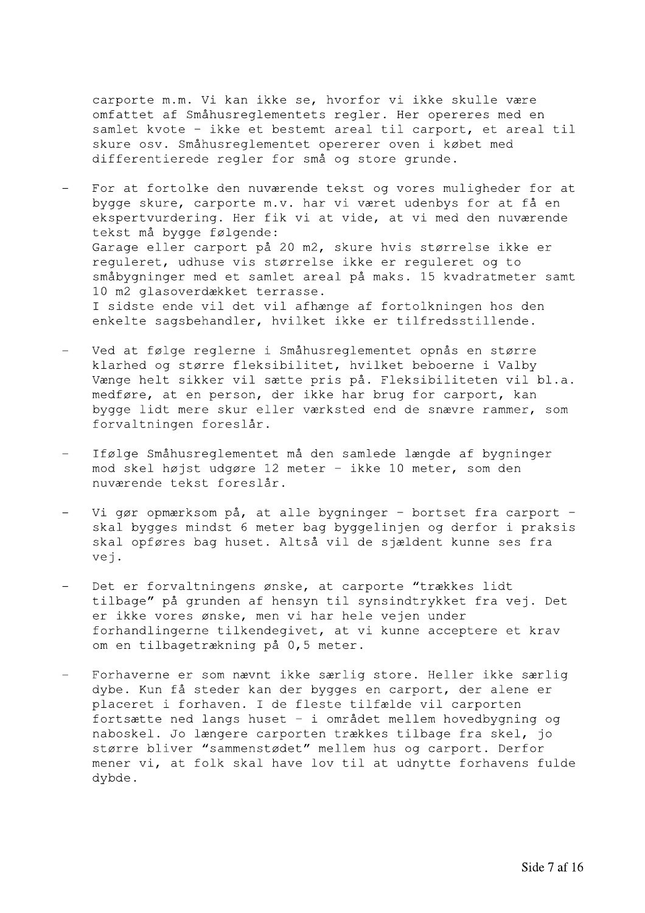carporte m.m. Vi kan ikke se, hvorfor vi ikke skulle være omfattet af Småhusreglementets regler. Her opereres med en samlet kvote - ikke et bestemt areal til carport, et areal til skure osv. Småhusreglementet opererer oven i købet med differentierede regler for små og store grunde.

- For at fortolke den nuværende tekst og vores muligheder for at bygge skure, carporte m.v. har vi været udenbys for at få en ekspertvurdering. Her fik vi at vide, at vi med den nuværende tekst må bygge følgende: Garage eller carport på 20 m2, skure hvis størrelse ikke er requleret, udhuse vis størrelse ikke er requleret og to småbygninger med et samlet areal på maks. 15 kvadratmeter samt 10 m2 glasoverdækket terrasse. I sidste ende vil det vil afhænge af fortolkningen hos den enkelte sagsbehandler, hvilket ikke er tilfredsstillende.
- Ved at følge reglerne i Småhusreglementet opnås en større klarhed og større fleksibilitet, hvilket beboerne i Valby Vænge helt sikker vil sætte pris på. Fleksibiliteten vil bl.a. medføre, at en person, der ikke har brug for carport, kan bygge lidt mere skur eller værksted end de snævre rammer, som forvaltningen foreslår.
- Ifølge Småhusreglementet må den samlede længde af bygninger mod skel højst udgøre 12 meter - ikke 10 meter, som den nuværende tekst foreslår.
- Vi gør opmærksom på, at alle bygninger bortset fra carport skal bygges mindst 6 meter bag byggelinjen og derfor i praksis skal opføres bag huset. Altså vil de sjældent kunne ses fra vei.
- Det er forvaltningens ønske, at carporte "trækkes lidt tilbage" på grunden af hensyn til synsindtrykket fra vej. Det er ikke vores ønske, men vi har hele vejen under forhandlingerne tilkendegivet, at vi kunne acceptere et krav om en tilbagetrækning på 0,5 meter.
- Forhaverne er som nævnt ikke særlig store. Heller ikke særlig dybe. Kun få steder kan der bygges en carport, der alene er placeret i forhaven. I de fleste tilfælde vil carporten fortsætte ned langs huset - i området mellem hovedbygning og naboskel. Jo længere carporten trækkes tilbage fra skel, jo større bliver "sammenstødet" mellem hus og carport. Derfor mener vi, at folk skal have lov til at udnytte forhavens fulde dybde.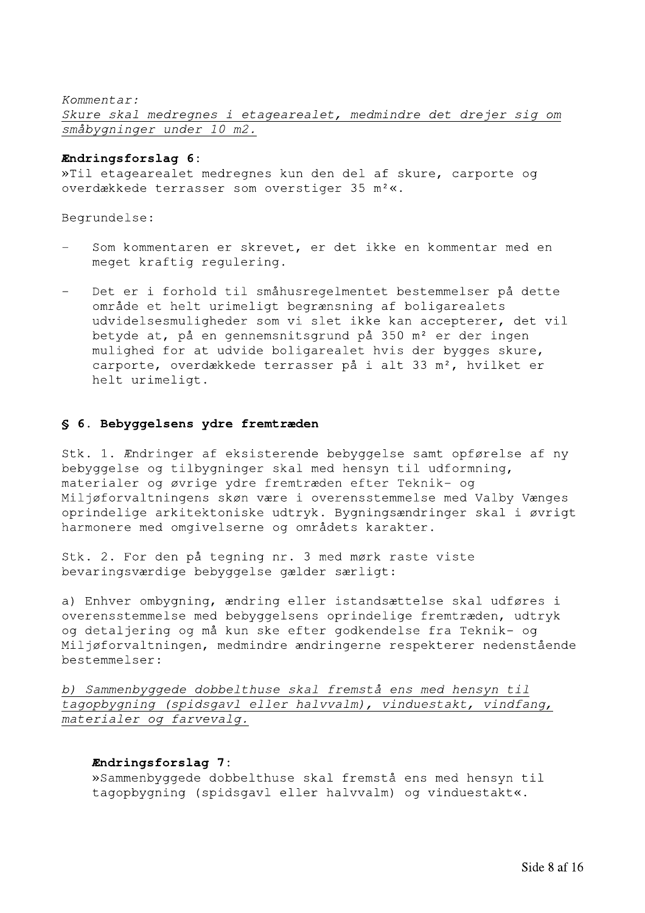Kommentar: Skure skal medregnes i etagearealet, medmindre det drejer sig om småbygninger under 10 m2. Xommentar:<br>
Skure skal medregnes i etagearealet, medmindre det drejer sig of småbygninger under 10 m2.<br> **Endringsforslag 6:**<br>
»Til etagearealet medregnes kun den del af skure, carporte og<br>
overdækkede terrasser som oversti

## Endringsforslag 6:

Begrundelse:

- Som kommentaren er skrevet, er det ikke en kommentar med en meget kraftig regulering.
- Det er i forhold til småhusregelmentet bestemmelser på dette område et helt urimeligt begrænsning af boligarealets udvidelsesmuligheder som vi slet ikke kan accepterer, det vil betyde at, på en gennemsnitsgrund på 350 m<sup>2</sup> er der ingen mulighed for at udvide boligarealet hvis der bygges skure, carporte, overdækkede terrasser på i alt 33 m<sup>2</sup>, hvilket er helt urimeligt. område et helt urimeligt begrænsning af bolig<br>udvidelsesmuligheder som vi slet ikke kan acc<br>betyde at, på en gennemsnitsgrund på 350 m<sup>2</sup> e<br>mulighed for at udvide boligarealet hvis der<br>carporte, overdakkede terrasser på i

Stk. 1. Endringer af eksisterende bebyggelse samt opførelse af ny bebyggelse og tilbygninger skal med hensyn til udformning, materialer og øvrige ydre fremtræden efter Teknik- og Miljøforvaltningens skøn være i overensstemmelse med Valby Vænges oprindelige arkitektoniske udtryk. Bygningsændringer skal i øvrigt harmonere med omgivelserne og områdets karakter.

Stk. 2. For den på tegning nr. 3 med mørk raste viste bevaringsværdige bebyggelse gælder særligt:

a) Enhver ombygning, ændring eller istandsættelse skal udføres i overensstemmelse med bebyggelsens oprindelige fremtræden, udtryk og detaljering og må kun ske efter godkendelse fra Teknik- og Miljøforvaltningen, medmindre ændringerne respekterer nedenstående bestemmelser:

b) Sammenbyggede dobbelthuse skal fremstå ens med hensyn til tagopbygning (spidsgavl eller halvvalm), vinduestakt, vindfang, materialer og farvevalg. Niljøforvaltningen, medmindre ændringerne respekterer nedenståer<br>
bestemmelser:<br>
1 <u>Sammenbyggede dobbelthuse skal fremstå ens med hensyn til</u><br>
1 tagopbygning (spidsgavl eller halvvalm), vinduestakt, vindfang,<br> **Endringsfo**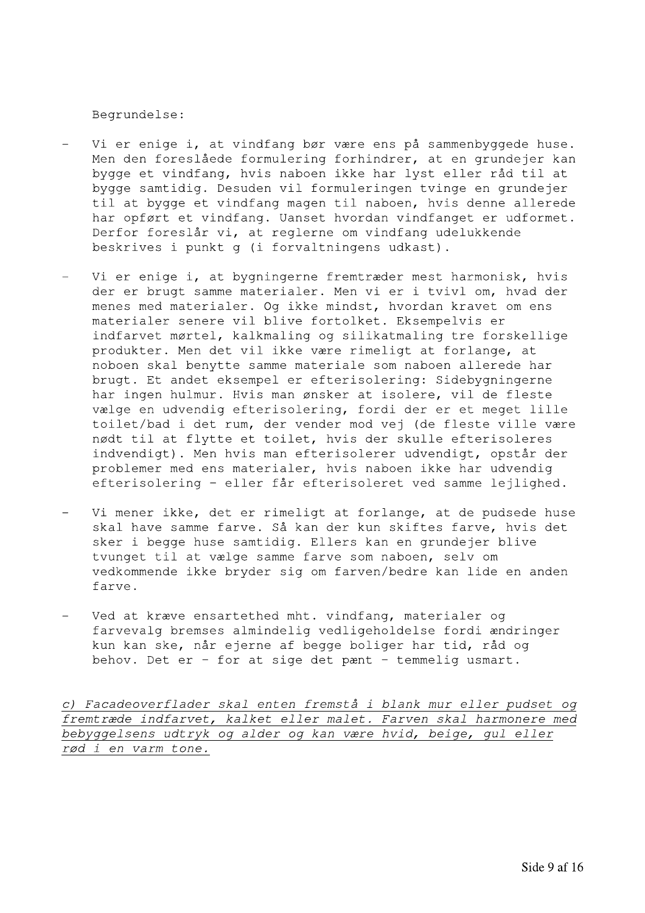Begrundelse:

- Vi er enige i, at vindfang bør være ens på sammenbyggede huse. Men den foreslåede formulering forhindrer, at en grundejer kan bygge et vindfang, hvis naboen ikke har lyst eller råd til at bygge samtidig. Desuden vil formuleringen tvinge en grundejer til at bygge et vindfang magen til naboen, hvis denne allerede har opført et vindfang. Uanset hvordan vindfanget er udformet. Derfor foreslår vi, at reglerne om vindfang udelukkende beskrives i punkt g (i forvaltningens udkast).
- Vi er enige i, at bygningerne fremtræder mest harmonisk, hvis der er brugt samme materialer. Men vi er i tvivl om, hvad der menes med materialer. Og ikke mindst, hvordan kravet om ens materialer senere vil blive fortolket. Eksempelvis er indfarvet mørtel, kalkmaling og silikatmaling tre forskellige produkter. Men det vil ikke være rimeligt at forlange, at noboen skal benytte samme materiale som naboen allerede har brugt. Et andet eksempel er efterisolering: Sidebygningerne har ingen hulmur. Hvis man ønsker at isolere, vil de fleste vælge en udvendig efterisolering, fordi der er et meget lille toilet/bad i det rum, der vender mod vej (de fleste ville være nødt til at flytte et toilet, hvis der skulle efterisoleres indvendigt). Men hvis man efterisolerer udvendigt, opstår der problemer med ens materialer, hvis naboen ikke har udvendig efterisolering - eller får efterisoleret ved samme lejlighed.
- Vi mener ikke, det er rimeligt at forlange, at de pudsede huse skal have samme farve. Så kan der kun skiftes farve, hvis det sker i begge huse samtidig. Ellers kan en grundejer blive tvunget til at vælge samme farve som naboen, selv om vedkommende ikke bryder sig om farven/bedre kan lide en anden farve.
- Ved at kræve ensartethed mht. vindfang, materialer og farvevalg bremses almindelig vedligeholdelse fordi ændringer kun kan ske, når ejerne af begge boliger har tid, råd og behov. Det er - for at sige det pænt - temmelig usmart.

c) Facadeoverflader skal enten fremstå i blank mur eller pudset og fremtræde indfarvet, kalket eller malet. Farven skal harmonere med bebyggelsens udtryk og alder og kan være hvid, beige, gul eller rød i en varm tone.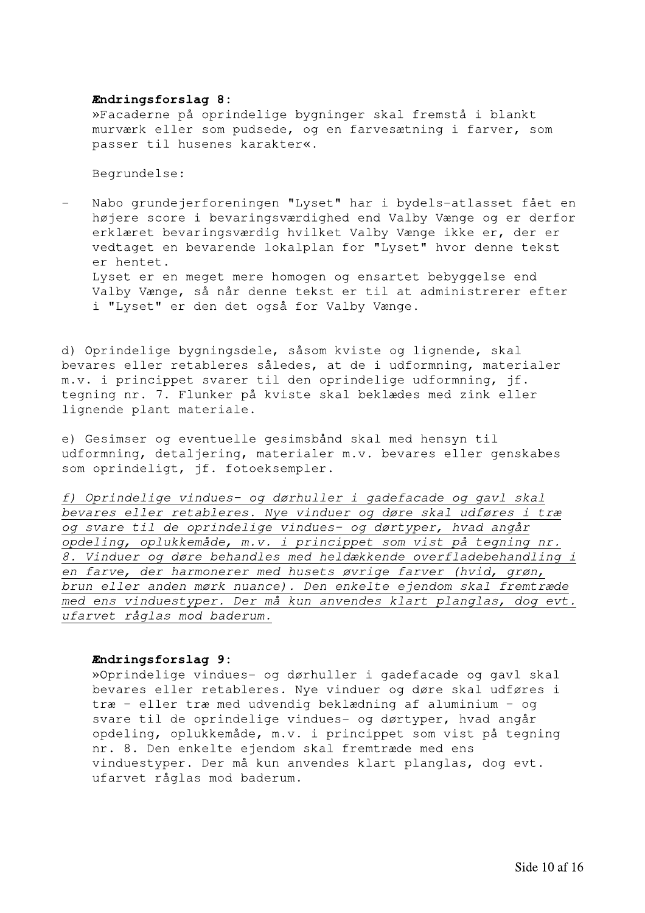## Endringsforslag 8:

»Facaderne på oprindelige bygninger skal fremstå i blankt murværk eller som pudsede, og en farvesætning i farver, som passer til husenes karakter«.

Begrundelse:

Nabo grundejerforeningen "Lyset" har i bydels-atlasset fået en højere score i bevaringsværdighed end Valby Vænge og er derfor erklæret bevaringsværdig hvilket Valby Vænge ikke er, der er vedtaget en bevarende lokalplan for "Lyset" hvor denne tekst er hentet. Lyset er en meget mere homogen og ensartet bebyggelse end Valby Vænge, så når denne tekst er til at administrerer efter i "Lyset" er den det også for Valby Vænge.

d) Oprindelige bygningsdele, såsom kviste og lignende, skal bevares eller retableres således, at de i udformning, materialer m.v. i princippet svarer til den oprindelige udformning, jf. tegning nr. 7. Flunker på kviste skal beklædes med zink eller lignende plant materiale.

e) Gesimser og eventuelle gesimsbånd skal med hensyn til udformning, detaljering, materialer m.v. bevares eller genskabes som oprindeligt, jf. fotoeksempler.

f) Oprindelige vindues- og dørhuller i gadefacade og gavl skal bevares eller retableres. Nye vinduer og døre skal udføres i træ og svare til de oprindelige vindues- og dørtyper, hvad angår opdeling, oplukkemåde, m.v. i princippet som vist på tegning nr. 8. Vinduer og døre behandles med heldækkende overfladebehandling i en farve, der harmonerer med husets øvrige farver (hvid, grøn, brun eller anden mørk nuance). Den enkelte ejendom skal fremtræde med ens vinduestyper. Der må kun anvendes klart planglas, dog evt. ufarvet råglas mod baderum.

# Endringsforslag 9:

»Oprindelige vindues- og dørhuller i gadefacade og gavl skal bevares eller retableres. Nye vinduer og døre skal udføres i træ - eller træ med udvendig beklædning af aluminium - og svare til de oprindelige vindues- og dørtyper, hvad angår opdeling, oplukkemåde, m.v. i princippet som vist på tegning nr. 8. Den enkelte ejendom skal fremtræde med ens vinduestyper. Der må kun anvendes klart planglas, dog evt. ufarvet råglas mod baderum.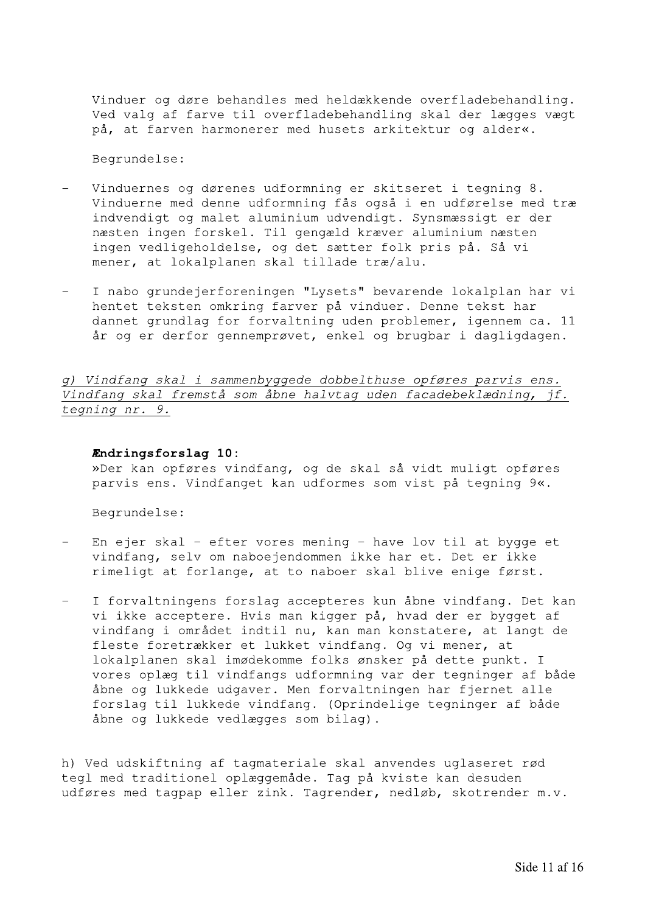Vinduer og døre behandles med heldækkende overfladebehandling. Ved valg af farve til overfladebehandling skal der lægges vægt på, at farven harmonerer med husets arkitektur og alder«.

Begrundelse:

- Vinduernes og dørenes udformning er skitseret i tegning 8. Vinduerne med denne udformning fås også i en udførelse med træ indvendigt og malet aluminium udvendigt. Synsmæssigt er der næsten ingen forskel. Til gengæld kræver aluminium næsten ingen vedligeholdelse, og det sætter folk pris på. Så vi mener, at lokalplanen skal tillade træ/alu.
- I nabo grundejerforeningen "Lysets" bevarende lokalplan har vi hentet teksten omkring farver på vinduer. Denne tekst har dannet grundlag for forvaltning uden problemer, igennem ca. 11 år og er derfor gennemprøvet, enkel og brugbar i dagligdagen.

q) Vindfang skal i sammenbyggede dobbelthuse opføres parvis ens. Vindfang skal fremstå som åbne halvtag uden facadebeklædning, jf. tegning nr. 9.

### Endringsforslag 10:

»Der kan opføres vindfang, og de skal så vidt muligt opføres parvis ens. Vindfanget kan udformes som vist på tegning 9«.

Begrundelse:

- En ejer skal efter vores mening have lov til at bygge et vindfang, selv om naboejendommen ikke har et. Det er ikke rimeligt at forlange, at to naboer skal blive enige først.
- I forvaltningens forslag accepteres kun åbne vindfang. Det kan vi ikke acceptere. Hvis man kigger på, hvad der er bygget af vindfang i området indtil nu, kan man konstatere, at langt de fleste foretrækker et lukket vindfang. Og vi mener, at lokalplanen skal imødekomme folks ønsker på dette punkt. I vores oplæg til vindfangs udformning var der tegninger af både åbne og lukkede udgaver. Men forvaltningen har fjernet alle forslag til lukkede vindfang. (Oprindelige tegninger af både åbne og lukkede vedlægges som bilag).

h) Ved udskiftning af tagmateriale skal anvendes uglaseret rød tegl med traditionel oplæggemåde. Tag på kviste kan desuden udføres med tagpap eller zink. Tagrender, nedløb, skotrender m.v.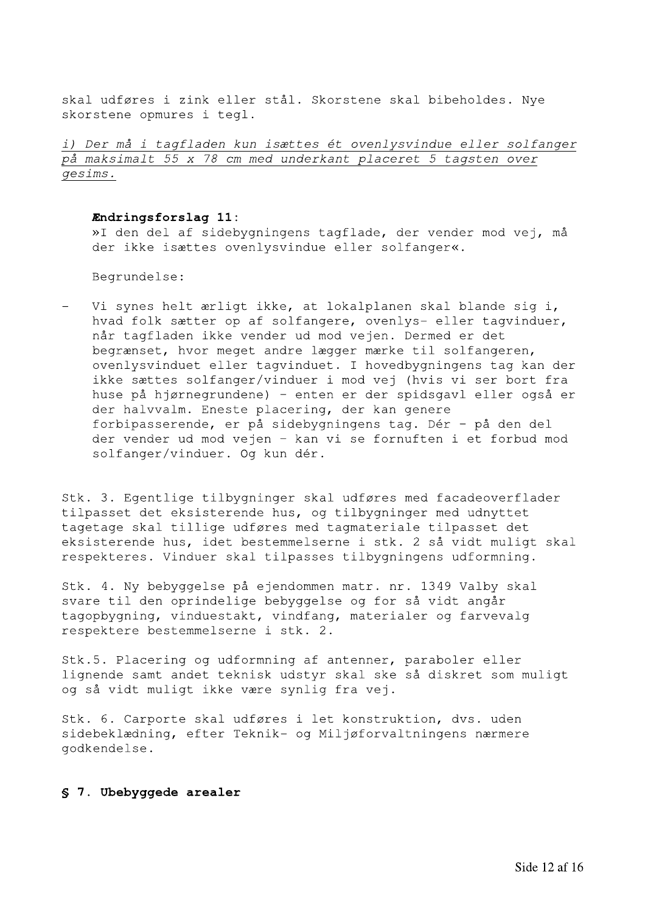skal udføres i zink eller stål. Skorstene skal bibeholdes. Nye skorstene opmures i tegl.

i) Der må i tagfladen kun isættes ét ovenlysvindue eller solfanger på maksimalt 55 x 78 cm med underkant placeret 5 tagsten over gesims.

### Endringsforslag 11:

»I den del af sidebygningens tagflade, der vender mod vej, må der ikke isættes ovenlysvindue eller solfanger«.

Begrundelse:

Vi synes helt ærligt ikke, at lokalplanen skal blande sig i, hvad folk sætter op af solfangere, ovenlys- eller tagvinduer, når tagfladen ikke vender ud mod vejen. Dermed er det begrænset, hvor meget andre lægger mærke til solfangeren, ovenlysvinduet eller tagvinduet. I hovedbygningens tag kan der ikke sættes solfanger/vinduer i mod vej (hvis vi ser bort fra huse på hjørnegrundene) - enten er der spidsgavl eller også er der halvvalm. Eneste placering, der kan genere forbipasserende, er på sidebygningens tag. Dér - på den del der vender ud mod vejen - kan vi se fornuften i et forbud mod solfanger/vinduer. Og kun dér.

Stk. 3. Egentlige tilbygninger skal udføres med facadeoverflader tilpasset det eksisterende hus, og tilbygninger med udnyttet tagetage skal tillige udføres med tagmateriale tilpasset det eksisterende hus, idet bestemmelserne i stk. 2 så vidt muligt skal respekteres. Vinduer skal tilpasses tilbygningens udformning.

Stk. 4. Ny bebyggelse på ejendommen matr. nr. 1349 Valby skal svare til den oprindelige bebyggelse og for så vidt angår tagopbygning, vinduestakt, vindfang, materialer og farvevalg respektere bestemmelserne i stk. 2.

Stk.5. Placering og udformning af antenner, paraboler eller lignende samt andet teknisk udstyr skal ske så diskret som muligt og så vidt muligt ikke være synlig fra vej.

Stk. 6. Carporte skal udføres i let konstruktion, dvs. uden sidebeklædning, efter Teknik- og Miljøforvaltningens nærmere qodkendelse.

# § 7. Ubebyggede arealer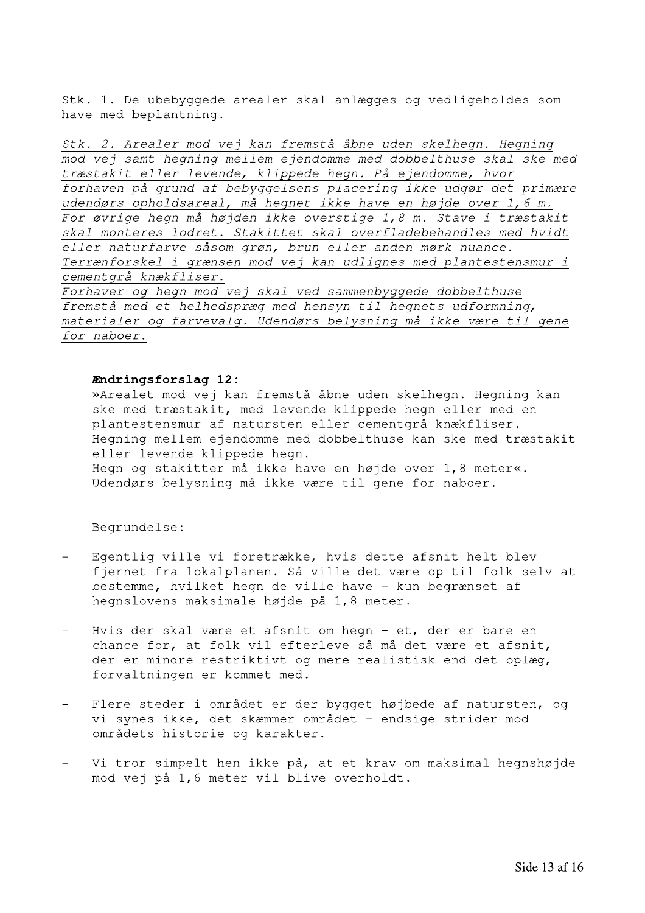Stk. 1. De ubebyggede arealer skal anlægges og vedligeholdes som have med beplantning.

Stk. 2. Arealer mod vej kan fremstå åbne uden skelhegn. Hegning mod vej samt hegning mellem ejendomme med dobbelthuse skal ske med træstakit eller levende, klippede hegn. På ejendomme, hvor forhaven på grund af bebyggelsens placering ikke udgør det primære udendørs opholdsareal, må heqnet ikke have en højde over 1,6 m. For øvrige hegn må højden ikke overstige 1,8 m. Stave i træstakit skal monteres lodret. Stakittet skal overfladebehandles med hvidt eller naturfarve såsom grøn, brun eller anden mørk nuance. Terrænforskel i grænsen mod vej kan udlignes med plantestensmur i cementgrå knækfliser. Forhaver og hegn mod vej skal ved sammenbyggede dobbelthuse fremstå med et helhedspræg med hensyn til hegnets udformning, materialer og farvevalg. Udendørs belysning må ikke være til gene for naboer.

### Endringsforslag 12:

»Arealet mod vej kan fremstå åbne uden skelhegn. Hegning kan ske med træstakit, med levende klippede hegn eller med en plantestensmur af natursten eller cementgrå knækfliser. Heqning mellem ejendomme med dobbelthuse kan ske med træstakit eller levende klippede hegn. Hegn og stakitter må ikke have en højde over 1,8 meter«. Udendørs belysning må ikke være til gene for naboer.

- Egentlig ville vi foretrække, hvis dette afsnit helt blev fjernet fra lokalplanen. Så ville det være op til folk selv at bestemme, hvilket hegn de ville have - kun begrænset af hegnslovens maksimale højde på 1,8 meter.
- Hvis der skal være et afsnit om hegn et, der er bare en chance for, at folk vil efterleve så må det være et afsnit, der er mindre restriktivt og mere realistisk end det oplæg, forvaltningen er kommet med.
- $\equiv$ Flere steder i området er der bygget højbede af natursten, og vi synes ikke, det skæmmer området - endsige strider mod områdets historie og karakter.
- Vi tror simpelt hen ikke på, at et krav om maksimal hegnshøjde mod vej på 1,6 meter vil blive overholdt.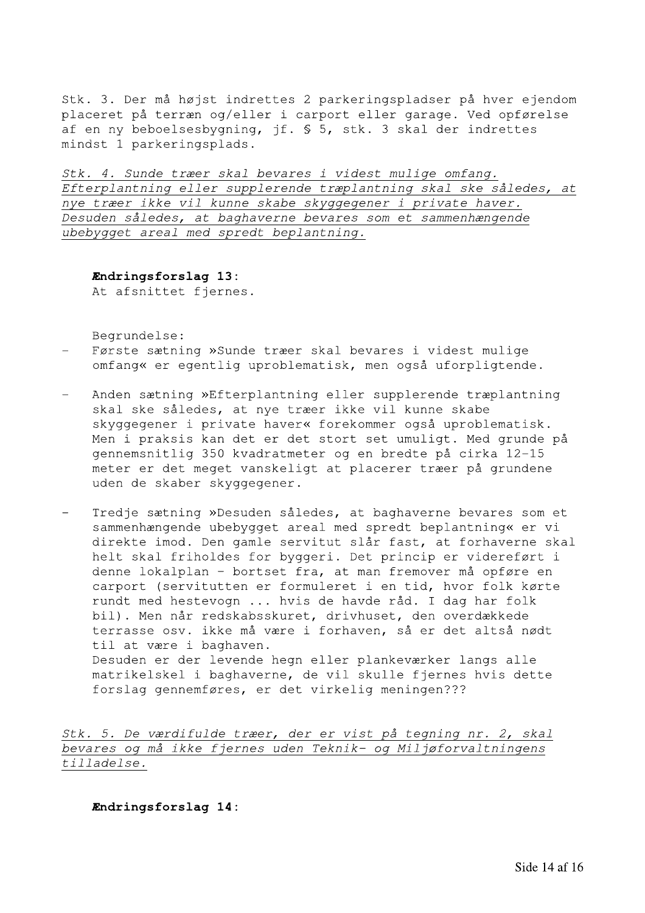Stk. 3. Der må højst indrettes 2 parkeringspladser på hver ejendom placeret på terræn og/eller i carport eller garage. Ved opførelse af en ny beboelsesbygning, jf. § 5, stk. 3 skal der indrettes mindst 1 parkeringsplads.

Stk. 4. Sunde træer skal bevares i videst mulige omfang. Efterplantning eller supplerende træplantning skal ske således, at nye træer ikke vil kunne skabe skyggegener i private haver. Desuden således, at baghaverne bevares som et sammenhængende ubebygget areal med spredt beplantning.

## Endringsforslag 13:

At afsnittet fjernes.

Begrundelse:

- Første sætning »Sunde træer skal bevares i videst mulige omfang« er egentlig uproblematisk, men også uforpligtende.
- Anden sætning »Efterplantning eller supplerende træplantning skal ske således, at nye træer ikke vil kunne skabe skyggegener i private haver« forekommer også uproblematisk. Men i praksis kan det er det stort set umuligt. Med grunde på gennemsnitlig 350 kvadratmeter og en bredte på cirka 12-15 meter er det meget vanskeligt at placerer træer på grundene uden de skaber skyggegener.
- Tredje sætning »Desuden således, at baghaverne bevares som et sammenhængende ubebygget areal med spredt beplantning« er vi direkte imod. Den gamle servitut slår fast, at forhaverne skal helt skal friholdes for byggeri. Det princip er videreført i denne lokalplan - bortset fra, at man fremover må opføre en carport (servitutten er formuleret i en tid, hvor folk kørte rundt med hestevogn ... hvis de havde råd. I dag har folk bil). Men når redskabsskuret, drivhuset, den overdækkede terrasse osv. ikke må være i forhaven, så er det altså nødt til at være i baghaven. Desuden er der levende hegn eller plankeværker langs alle matrikelskel i baghaverne, de vil skulle fjernes hvis dette forslag gennemføres, er det virkelig meningen???

Stk. 5. De værdifulde træer, der er vist på tegning nr. 2, skal bevares og må ikke fjernes uden Teknik- og Miljøforvaltningens tilladelse.

Endringsforslag 14: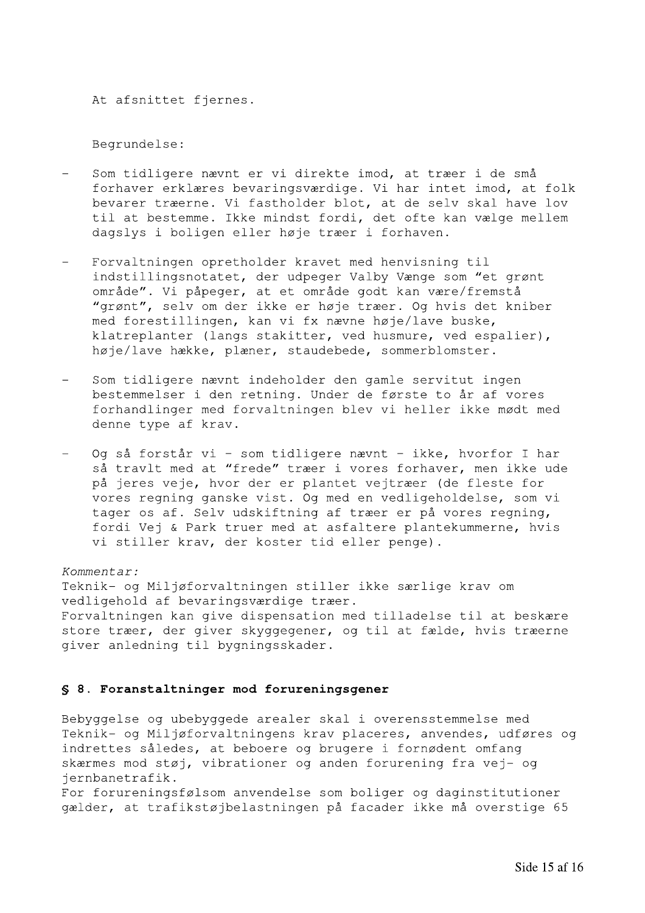At afsnittet fjernes.

Begrundelse:

- Som tidligere nævnt er vi direkte imod, at træer i de små forhaver erklæres bevaringsværdige. Vi har intet imod, at folk bevarer træerne. Vi fastholder blot, at de selv skal have lov til at bestemme. Ikke mindst fordi, det ofte kan vælge mellem dagslys i boligen eller høje træer i forhaven.
- Forvaltningen opretholder kravet med henvisning til indstillingsnotatet, der udpeger Valby Vænge som "et grønt område". Vi påpeger, at et område godt kan være/fremstå "grønt", selv om der ikke er høje træer. Og hvis det kniber med forestillingen, kan vi fx nævne høje/lave buske, klatreplanter (langs stakitter, ved husmure, ved espalier), høje/lave hække, plæner, staudebede, sommerblomster.
- Som tidligere nævnt indeholder den gamle servitut ingen bestemmelser i den retning. Under de første to år af vores forhandlinger med forvaltningen blev vi heller ikke mødt med denne type af krav.
- Og så forstår vi som tidligere nævnt ikke, hvorfor I har så travlt med at "frede" træer i vores forhaver, men ikke ude på jeres veje, hvor der er plantet vejtræer (de fleste for vores regning ganske vist. Og med en vedligeholdelse, som vi tager os af. Selv udskiftning af træer er på vores regning, fordi Vej & Park truer med at asfaltere plantekummerne, hvis vi stiller krav, der koster tid eller penge).

### Kommentar:

Teknik- og Miljøforvaltningen stiller ikke særlige krav om vedligehold af bevaringsværdige træer. Forvaltningen kan give dispensation med tilladelse til at beskære store træer, der giver skyggegener, og til at fælde, hvis træerne giver anledning til bygningsskader.

### § 8. Foranstaltninger mod forureningsgener

Bebyggelse og ubebyggede arealer skal i overensstemmelse med Teknik- og Miljøforvaltningens krav placeres, anvendes, udføres og indrettes således, at beboere og brugere i fornødent omfang skærmes mod støj, vibrationer og anden forurening fra vej- og jernbanetrafik.

For forureningsfølsom anvendelse som boliger og daginstitutioner gælder, at trafikstøjbelastningen på facader ikke må overstige 65